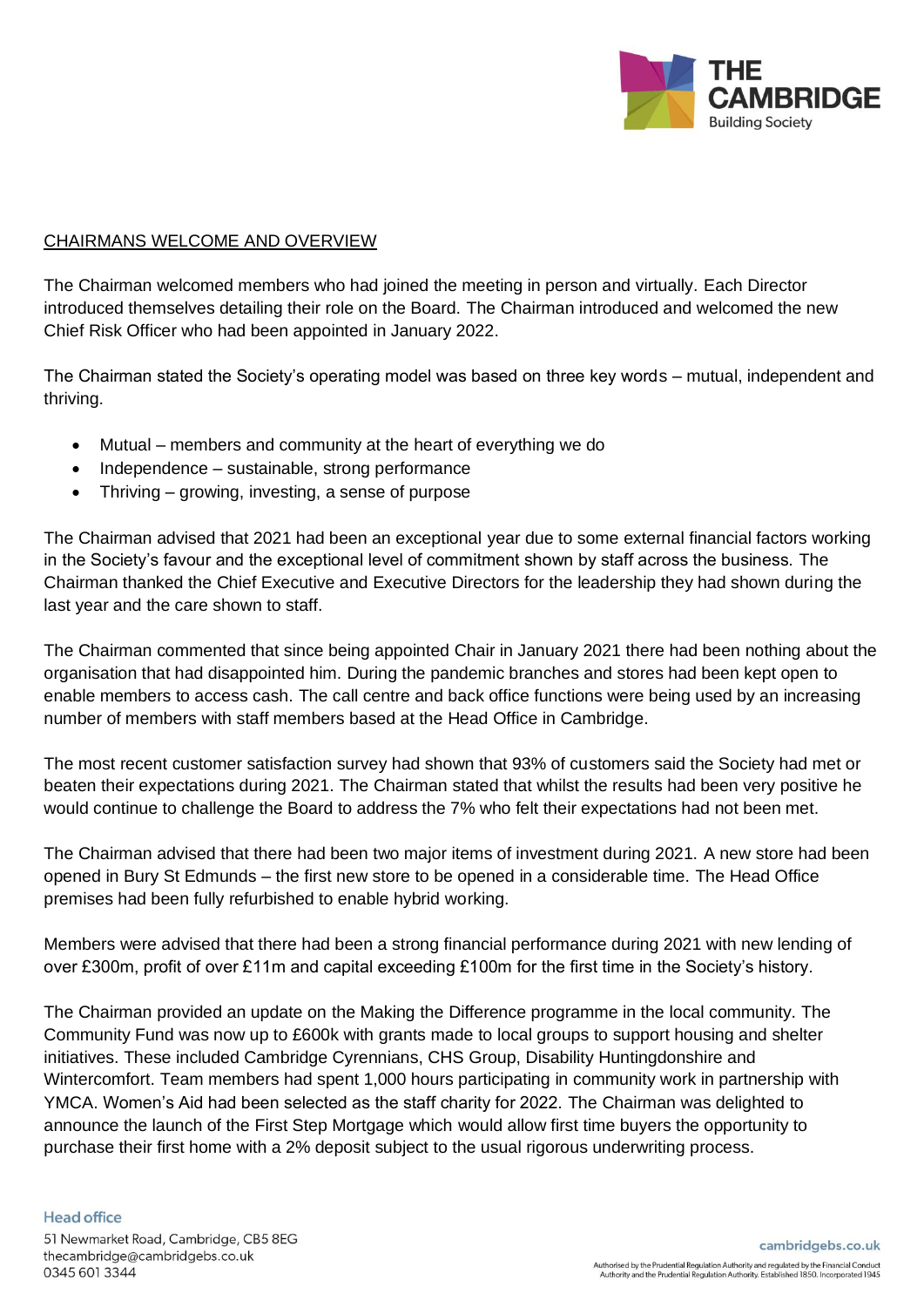

## CHAIRMANS WELCOME AND OVERVIEW

The Chairman welcomed members who had joined the meeting in person and virtually. Each Director introduced themselves detailing their role on the Board. The Chairman introduced and welcomed the new Chief Risk Officer who had been appointed in January 2022.

The Chairman stated the Society's operating model was based on three key words – mutual, independent and thriving.

- Mutual members and community at the heart of everything we do
- Independence sustainable, strong performance
- Thriving growing, investing, a sense of purpose

The Chairman advised that 2021 had been an exceptional year due to some external financial factors working in the Society's favour and the exceptional level of commitment shown by staff across the business. The Chairman thanked the Chief Executive and Executive Directors for the leadership they had shown during the last year and the care shown to staff.

The Chairman commented that since being appointed Chair in January 2021 there had been nothing about the organisation that had disappointed him. During the pandemic branches and stores had been kept open to enable members to access cash. The call centre and back office functions were being used by an increasing number of members with staff members based at the Head Office in Cambridge.

The most recent customer satisfaction survey had shown that 93% of customers said the Society had met or beaten their expectations during 2021. The Chairman stated that whilst the results had been very positive he would continue to challenge the Board to address the 7% who felt their expectations had not been met.

The Chairman advised that there had been two major items of investment during 2021. A new store had been opened in Bury St Edmunds – the first new store to be opened in a considerable time. The Head Office premises had been fully refurbished to enable hybrid working.

Members were advised that there had been a strong financial performance during 2021 with new lending of over £300m, profit of over £11m and capital exceeding £100m for the first time in the Society's history.

The Chairman provided an update on the Making the Difference programme in the local community. The Community Fund was now up to £600k with grants made to local groups to support housing and shelter initiatives. These included Cambridge Cyrennians, CHS Group, Disability Huntingdonshire and Wintercomfort. Team members had spent 1,000 hours participating in community work in partnership with YMCA. Women's Aid had been selected as the staff charity for 2022. The Chairman was delighted to announce the launch of the First Step Mortgage which would allow first time buyers the opportunity to purchase their first home with a 2% deposit subject to the usual rigorous underwriting process.

## Head office

51 Newmarket Road, Cambridge, CB5 8EG thecambridge@cambridgebs.co.uk 0345 601 3344